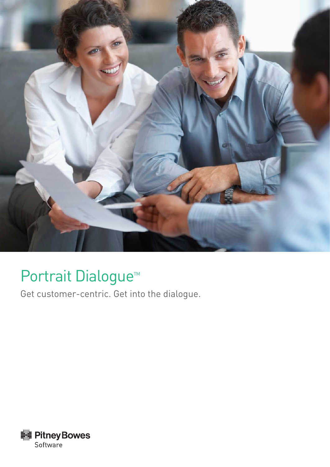

# Portrait Dialogue<sup>™</sup>

Get customer-centric. Get into the dialogue.

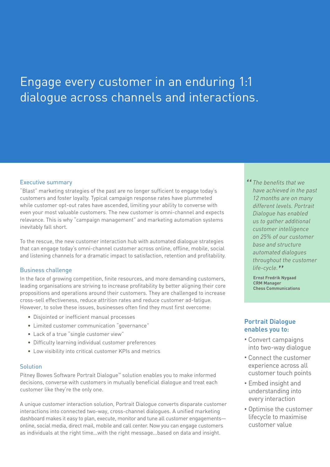## Engage every customer in an enduring 1:1 dialogue across channels and interactions.

#### Executive summary

"Blast" marketing strategies of the past are no longer sufficient to engage today's customers and foster loyalty. Typical campaign response rates have plummeted while customer opt-out rates have ascended, limiting your ability to converse with even your most valuable customers. The new customer is omni-channel and expects relevance. This is why "campaign management" and marketing automation systems inevitably fall short.

To the rescue, the new customer interaction hub with automated dialogue strategies that can engage today's omni-channel customer across online, offline, mobile, social and listening channels for a dramatic impact to satisfaction, retention and profitability.

#### Business challenge

In the face of growing competition, finite resources, and more demanding customers, leading organisations are striving to increase profitability by better aligning their core propositions and operations around their customers. They are challenged to increase cross-sell effectiveness, reduce attrition rates and reduce customer ad-fatigue. However, to solve these issues, businesses often find they must first overcome:

- Disjointed or inefficient manual processes
- Limited customer communication "governance"
- Lack of a true "single customer view"
- Difficulty learning individual customer preferences
- Low visibility into critical customer KPIs and metrics

#### **Solution**

Pitney Bowes Software Portrait Dialogue™ solution enables you to make informed decisions, converse with customers in mutually beneficial dialogue and treat each customer like they're the only one.

A unique customer interaction solution, Portrait Dialogue converts disparate customer interactions into connected two-way, cross-channel dialogues. A unified marketing dashboard makes it easy to plan, execute, monitor and tune all customer engagements online, social media, direct mail, mobile and call center. Now you can engage customers as individuals at the right time…with the right message…based on data and insight.

<sup>14</sup> The benefits that we **have achieved** in the *have achieved in the past 12 months are on many different levels. Portrait Dialogue has enabled us to gather additional customer intelligence on 25% of our customer base and structure automated dialogues throughout the customer life-cycle.* <sup>"</sup><br>Ernst Fredrik N

**Ernst Fredrik Nygaad CRM Manager Chess Communications** 

#### Portrait Dialogue enables you to:

- Convert campaigns into two-way dialogue
- Connect the customer experience across all customer touch points
- Embed insight and understanding into every interaction
- Optimise the customer lifecycle to maximise customer value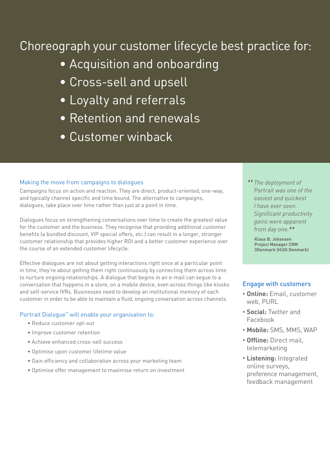### Choreograph your customer lifecycle best practice for:

- Acquisition and onboarding
- Cross-sell and upsell
- Loyalty and referrals
- Retention and renewals
- Customer winback

#### Making the move from campaigns to dialogues

Campaigns focus on action and reaction. They are direct, product-oriented, one-way, and typically channel specific and time bound. The alternative to campaigns, dialogues, take place over time rather than just at a point in time.

Dialogues focus on strengthening conversations over time to create the greatest value for the customer and the business. They recognise that providing additional customer benefits (a bundled discount, VIP special offers, etc.) can result in a longer, stronger customer relationship that provides higher ROI and a better customer experience over the course of an extended customer lifecycle.

Effective dialogues are not about getting interactions right once at a particular point in time, they're about getting them right continuously by connecting them across time to nurture ongoing relationships. A dialogue that begins in an e-mail can segue to a conversation that happens in a store, on a mobile device, even across things like kiosks and self-service IVRs. Businesses need to develop an institutional memory of each customer in order to be able to maintain a fluid, ongoing conversation across channels.

#### Portrait Dialogue™ will enable your organisation to:

- Reduce customer opt-out
- Improve customer retention
- Achieve enhanced cross-sell success
- Optimise upon customer lifetime value
- Gain efficiency and collaboration across your marketing team
- Optimise offer management to maximise return on investment

" *The deployment of Portrait was one of the easiest and quickest I have ever seen. Significant productivity gains were apparent from day one.*<br>Klaus B. Johansen

**Klaus B. Johansen Project Manager CRM 3Denmark (Hi3G Denmark)** 

#### Engage with customers

- **Online:** Email, customer web, PURL
- **Social:** Twitter and Facebook
- **Mobile:** SMS, MMS, WAP
- **Offline:** Direct mail, telemarketing
- **Listening:** Integrated online surveys, preference management, feedback management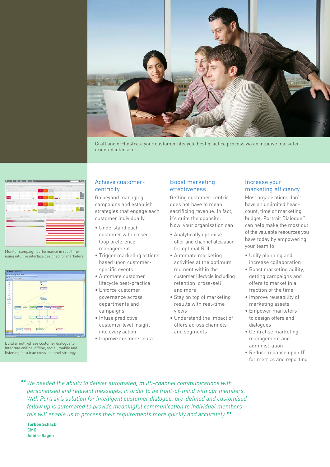

Craft and orchestrate your customer lifecycle best practice process via an intuitive marketeroriented interface.



Monitor campaign performance in real-time using intuitive interface designed for marketers.



Build a multi-phase customer dialogue to integrate oniline, offline, social, mobile and listening for a true cross-channel strategy.

#### Achieve customercentricity

Go beyond managing campaigns and establish strategies that engage each customer individually.

- Understand each customer with closedloop preference management
- Trigger marketing actions based upon customerspecific events
- Automate customer lifecycle best-practice
- Enforce customer governance across departments and campaigns
- Infuse predictive customer level insight into every action
- Improve customer data

#### Boost marketing effectiveness

Getting customer-centric does not have to mean sacrificing revenue. In fact, it's quite the opposite. Now, your organisation can:

- Analytically optimise offer and channel allocation for optimal ROI
- Automate marketing activities at the optimum moment within the customer lifecycle including retention, cross-sell and more
- Stay on top of marketing results with real-time views
- Understand the impact of offers across channels and segments

#### Increase your marketing efficiency

Most organisations don't have an unlimited headcount, time or marketing budget. Portrait Dialogue™ can help make the most out of the valuable resources you have today by empowering your team to:

- Unify planning and increase collaboration
- Boost marketing agility, getting campaigns and offers to market in a fraction of the time
- Improve reusability of marketing assets
- Empower marketers to design offers and dialogues
- Centralise marketing management and administration
- Reduce reliance upon IT for metrics and reporting
- " *We needed the ability to deliver automated, multi-channel communications with personalised and relevant messages, in order to be front-of-mind with our members. With Portrait's solution for intelligent customer dialogue, pre-defined and customised follow up is automated to provide meaningful communication to individual members this will enable us to process their requirements more quickly and accurately.* "

**Torben Schack CMO Aeldre Sagen**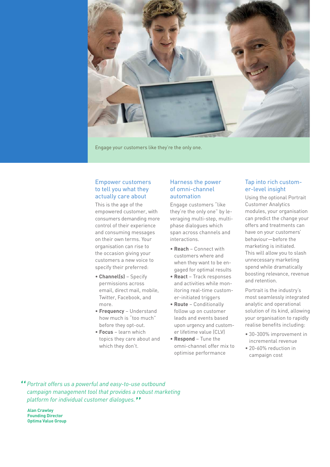

Alicipis aspis nobis explaboribus etur as ella ditatumentem hillor maios aut eni vel min rae. Quotem dolor Engage your customers like they're the only one.

#### Empower customers to tell you what they actually care about

This is the age of the empowered customer, with consumers demanding more control of their experience and consuming messages on their own terms. Your organisation can rise to the occasion giving your customers a new voice to specify their preferred:

- **Channel(s)** Specify permissions across email, direct mail, mobile, Twitter, Facebook, and more.
- **Frequency** Understand how much is "too much" before they opt-out.
- **Focus** learn which topics they care about and which they don't.

#### Harness the power of omni-channel automation

Engage customers "like they're the only one" by leveraging multi-step, multiphase dialogues which span across channels and interactions.

- **Reach** Connect with customers where and when they want to be engaged for optimal results
- **React** Track responses and activities while monitoring real-time customer-initiated triggers
- **Route** Conditionally follow up on customer leads and events based upon urgency and customer lifetime value (CLV)
- **Respond** Tune the omni-channel offer mix to optimise performance

#### Tap into rich customer-level insight

Using the optional Portrait Customer Analytics modules, your organisation can predict the change your offers and treatments can have on your customers' behaviour—before the marketing is initiated. This will allow you to slash unnecessary marketing spend while dramatically boosting relevance, revenue and retention.

Portrait is the industry's most seamlessly integrated analytic and operational solution of its kind, allowing your organisation to rapidly realise benefits including:

- 30-300% improvement in incremental revenue
- 20-60% reduction in campaign cost

" *Portrait offers us a powerful and easy-to-use outbound campaign management tool that provides a robust marketing platform for individual customer dialogues.* "

**Alan Crawley Founding Director Optima Value Group**